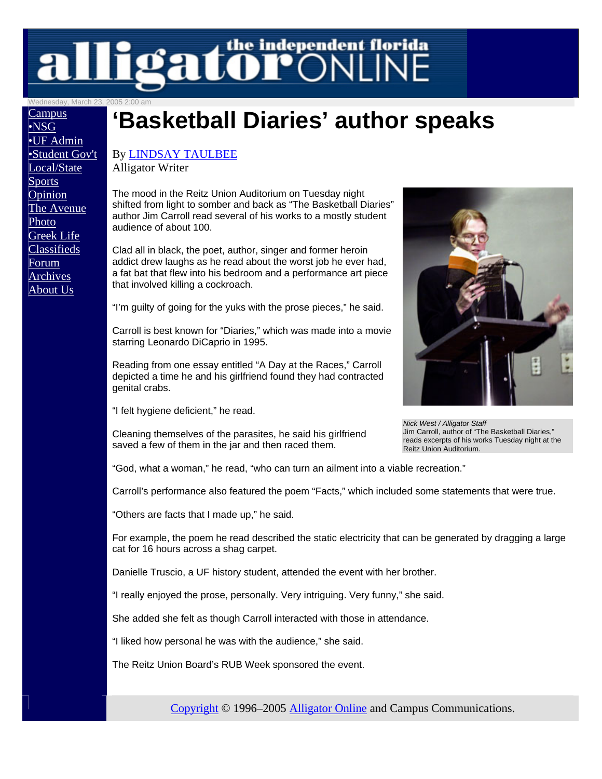# **LeatOPONLINE**

Wednesday, March 23, 2005 2:00 am

**Campus** •NSG •UF Admin •Student Gov't Local/State **Sports Opinion** The Avenue Photo Greek Life Classifieds Forum Archives About Us

## **'Basketball Diaries' author speaks**

#### By LINDSAY TAULBEE

Alligator Writer

The mood in the Reitz Union Auditorium on Tuesday night shifted from light to somber and back as "The Basketball Diaries" author Jim Carroll read several of his works to a mostly student audience of about 100.

Clad all in black, the poet, author, singer and former heroin addict drew laughs as he read about the worst job he ever had, a fat bat that flew into his bedroom and a performance art piece that involved killing a cockroach.

"I'm guilty of going for the yuks with the prose pieces," he said.

Carroll is best known for "Diaries," which was made into a movie starring Leonardo DiCaprio in 1995.

Reading from one essay entitled "A Day at the Races," Carroll depicted a time he and his girlfriend found they had contracted genital crabs.

"I felt hygiene deficient," he read.

Cleaning themselves of the parasites, he said his girlfriend saved a few of them in the jar and then raced them.



*Nick West / Alligator Staff*  Jim Carroll, author of "The Basketball Diaries," reads excerpts of his works Tuesday night at the Reitz Union Auditorium.

"God, what a woman," he read, "who can turn an ailment into a viable recreation."

Carroll's performance also featured the poem "Facts," which included some statements that were true.

"Others are facts that I made up," he said.

For example, the poem he read described the static electricity that can be generated by dragging a large cat for 16 hours across a shag carpet.

Danielle Truscio, a UF history student, attended the event with her brother.

"I really enjoyed the prose, personally. Very intriguing. Very funny," she said.

She added she felt as though Carroll interacted with those in attendance.

"I liked how personal he was with the audience," she said.

The Reitz Union Board's RUB Week sponsored the event.

Copyright © 1996–2005 Alligator Online and Campus Communications.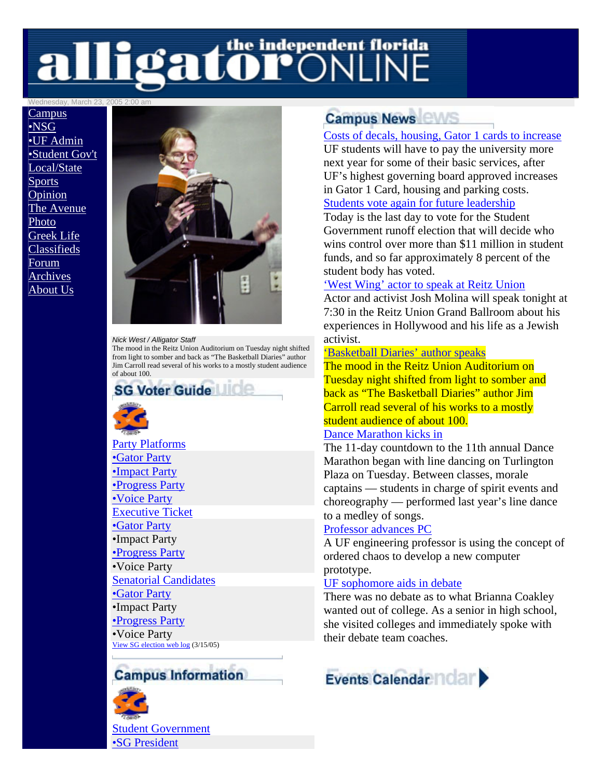# alligator CNLINE

Wednesday, March 23, 2005 2:00 am

**Campus** •NSG •UF Admin •Student Gov't Local/State **Sports** Opinion The Avenue Photo Greek Life Classifieds Forum Archives About Us



#### *Nick West / Alligator Staff*

The mood in the Reitz Union Auditorium on Tuesday night shifted from light to somber and back as "The Basketball Diaries" author Jim Carroll read several of his works to a mostly student audience of about 100.



Party Platforms •Gator Party •Impact Party •Progress Party •Voice Party Executive Ticket •Gator Party •Impact Party •Progress Party •Voice Party Senatorial Candidates •Gator Party •Impact Party •Progress Party •Voice Party View SG election web log (3/15/05)

### **Campus Information**



### **Campus News**

#### Costs of decals, housing, Gator 1 cards to increase

UF students will have to pay the university more next year for some of their basic services, after UF's highest governing board approved increases in Gator 1 Card, housing and parking costs. Students vote again for future leadership

Today is the last day to vote for the Student Government runoff election that will decide who wins control over more than \$11 million in student funds, and so far approximately 8 percent of the student body has voted.

#### 'West Wing' actor to speak at Reitz Union

Actor and activist Josh Molina will speak tonight at 7:30 in the Reitz Union Grand Ballroom about his experiences in Hollywood and his life as a Jewish activist.

#### 'Basketball Diaries' author speaks

The mood in the Reitz Union Auditorium on Tuesday night shifted from light to somber and back as "The Basketball Diaries" author Jim Carroll read several of his works to a mostly student audience of about 100.

#### Dance Marathon kicks in

The 11-day countdown to the 11th annual Dance Marathon began with line dancing on Turlington Plaza on Tuesday. Between classes, morale captains — students in charge of spirit events and choreography — performed last year's line dance to a medley of songs.

#### Professor advances PC

A UF engineering professor is using the concept of ordered chaos to develop a new computer prototype.

#### UF sophomore aids in debate

There was no debate as to what Brianna Coakley wanted out of college. As a senior in high school, she visited colleges and immediately spoke with their debate team coaches.